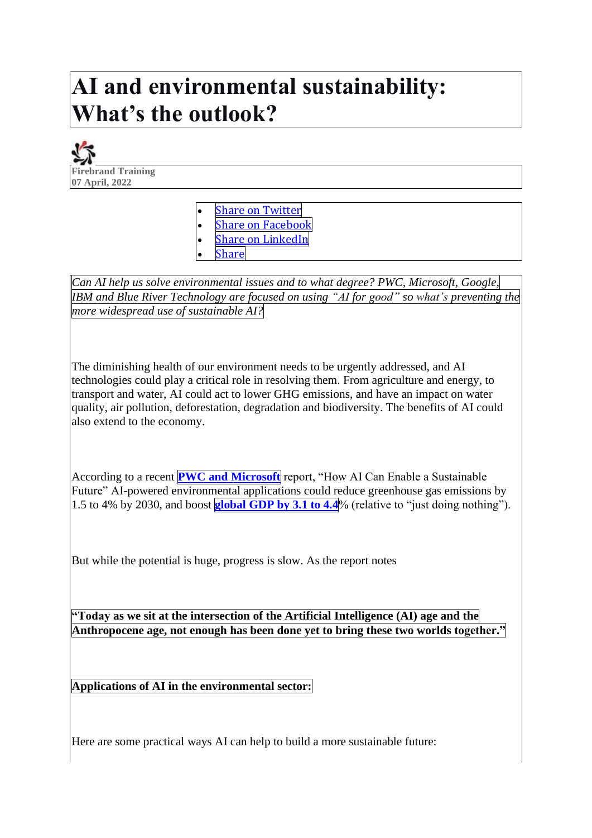## **AI and environmental sustainability: What's the outlook?**



**Share on [Twitter](https://firebrand.training/uk/blog/ai-and-environmental-sustainability) Share on [Facebook](https://firebrand.training/uk/blog/ai-and-environmental-sustainability) Share on [LinkedIn](https://firebrand.training/uk/blog/ai-and-environmental-sustainability)** 

**[Share](https://firebrand.training/uk/blog/ai-and-environmental-sustainability)** 

*Can AI help us solve environmental issues and to what degree? PWC, Microsoft, Google, IBM and Blue River Technology are focused on using "AI for good" so what's preventing the more widespread use of sustainable AI?*

The diminishing health of our environment needs to be urgently addressed, and AI technologies could play a critical role in resolving them. From agriculture and energy, to transport and water, AI could act to lower GHG emissions, and have an impact on water quality, air pollution, deforestation, degradation and biodiversity. The benefits of AI could also extend to the economy.

According to a recent **PWC and [Microsoft](https://www.pwc.co.uk/sustainability-climate-change/assets/pdf/how-ai-can-enable-a-sustainable-future.pdf)** report, "How AI Can Enable a Sustainable Future" AI-powered environmental applications could reduce greenhouse gas emissions by 1.5 to 4% by 2030, and boost **[global](https://www.pwc.co.uk/sustainability-climate-change/assets/pdf/how-ai-can-enable-a-sustainable-future.pdf) GDP by 3.1 to 4.4**% (relative to "just doing nothing").

But while the potential is huge, progress is slow. As the report notes

**"Today as we sit at the intersection of the Artificial Intelligence (AI) age and the Anthropocene age, not enough has been done yet to bring these two worlds together."**

**Applications of AI in the environmental sector:**

Here are some practical ways AI can help to build a more sustainable future: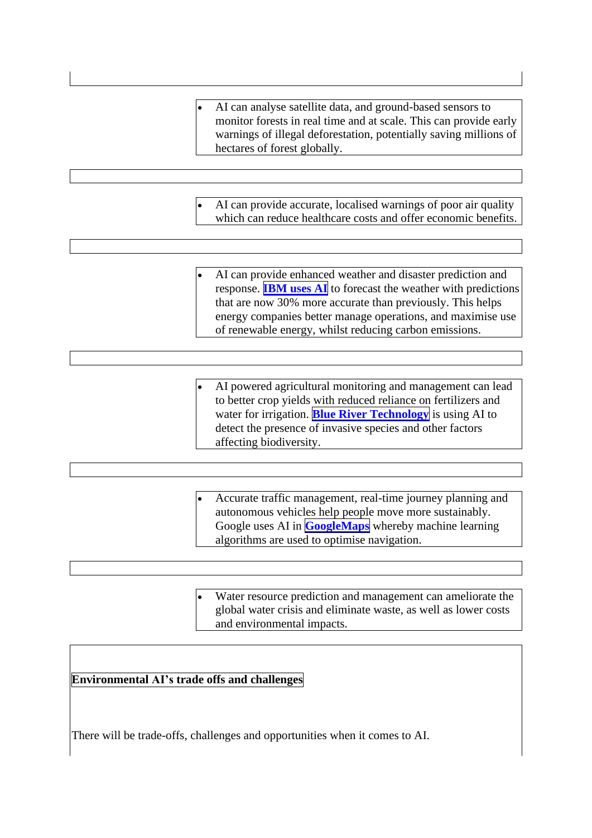• AI can analyse satellite data, and ground-based sensors to monitor forests in real time and at scale. This can provide early warnings of illegal deforestation, potentially saving millions of hectares of forest globally. • AI can provide accurate, localised warnings of poor air quality which can reduce healthcare costs and offer economic benefits. AI can provide enhanced weather and disaster prediction and response. **[IBM](https://earth.org/data_visualization/ai-can-it-help-achieve-environmental-sustainable/) uses AI** to forecast the weather with predictions that are now 30% more accurate than previously. This helps energy companies better manage operations, and maximise use of renewable energy, whilst reducing carbon emissions. • AI powered agricultural monitoring and management can lead to better crop yields with reduced reliance on fertilizers and water for irrigation. **Blue River [Technology](https://bluerivertechnology.com/)** is using AI to detect the presence of invasive species and other factors affecting biodiversity. • Accurate traffic management, real-time journey planning and autonomous vehicles help people move more sustainably. Google uses AI in **[GoogleMaps](https://blog.google/products/maps/redefining-what-map-can-be-new-information-and-ai/)** whereby machine learning algorithms are used to optimise navigation.

> Water resource prediction and management can ameliorate the global water crisis and eliminate waste, as well as lower costs and environmental impacts.

## **Environmental AI's trade offs and challenges**

There will be trade-offs, challenges and opportunities when it comes to AI.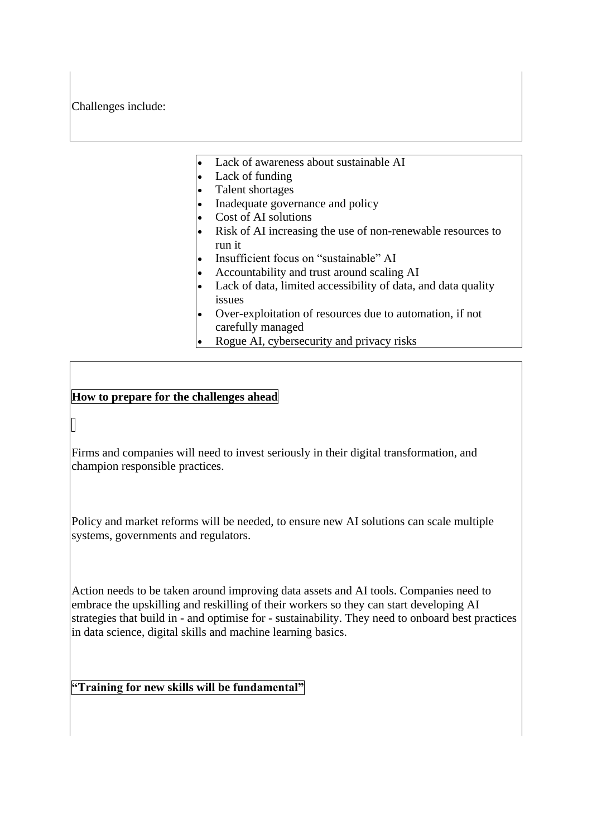Challenges include:

- Lack of awareness about sustainable AI
- Lack of funding
- Talent shortages
- Inadequate governance and policy
- Cost of AI solutions
- Risk of AI increasing the use of non-renewable resources to run it
- Insufficient focus on "sustainable" AI
- Accountability and trust around scaling AI
- Lack of data, limited accessibility of data, and data quality issues
- Over-exploitation of resources due to automation, if not carefully managed
- Rogue AI, cybersecurity and privacy risks

## **How to prepare for the challenges ahead**

Firms and companies will need to invest seriously in their digital transformation, and champion responsible practices.

Policy and market reforms will be needed, to ensure new AI solutions can scale multiple systems, governments and regulators.

Action needs to be taken around improving data assets and AI tools. Companies need to embrace the upskilling and reskilling of their workers so they can start developing AI strategies that build in - and optimise for - sustainability. They need to onboard best practices in data science, digital skills and machine learning basics.

**"Training for new skills will be fundamental"**